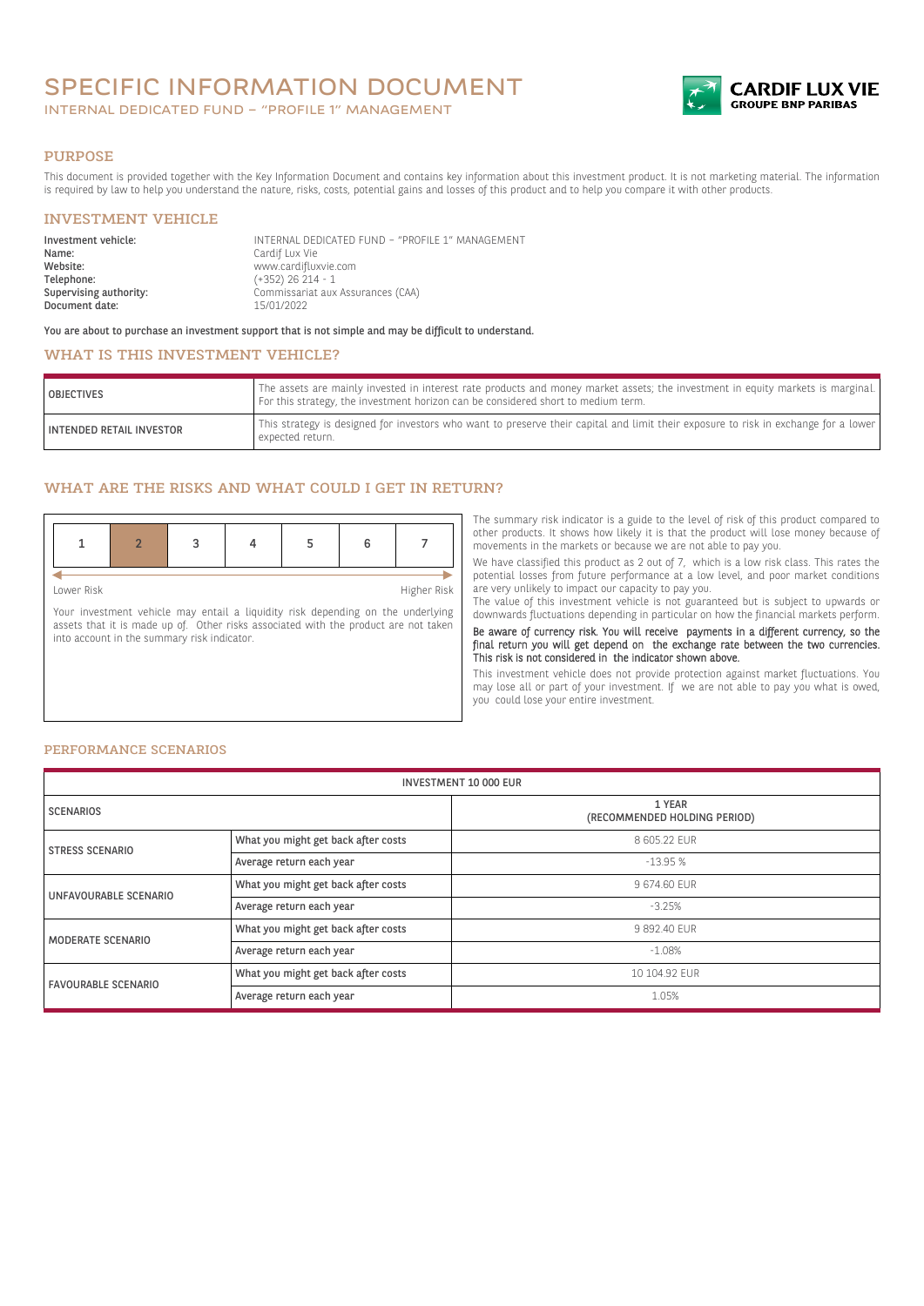# SPECIFIC INFORMATION DOCUMENT

INTERNAL DEDICATED FUND – "PROFILE 1" MANAGEMENT



#### PURPOSE

This document is provided together with the Key Information Document and contains key information about this investment product. It is not marketing material. The information is required by law to help you understand the nature, risks, costs, potential gains and losses of this product and to help you compare it with other products.

### INVESTMENT VEHICLE

| Investment vehicle:<br>Name: | INTERNAL DEDICATED FUND - "PROFILE 1" MANAGEMENT<br>Cardif Lux Vie |
|------------------------------|--------------------------------------------------------------------|
| Website:                     | www.cardifluxvie.com                                               |
| Telephone:                   | $(+352)$ 26 214 - 1                                                |
| Supervising authority:       | Commissariat aux Assurances (CAA)                                  |
| Document date:               | 15/01/2022                                                         |

You are about to purchase an investment support that is not simple and may be difficult to understand.

## WHAT IS THIS INVESTMENT VEHICLE?

| <b>OBJECTIVES</b>               | The assets are mainly invested in interest rate products and money market assets; the investment in equity markets is marginal.<br>For this strategy, the investment horizon can be considered short to medium term. |
|---------------------------------|----------------------------------------------------------------------------------------------------------------------------------------------------------------------------------------------------------------------|
| <b>INTENDED RETAIL INVESTOR</b> | This strategy is designed for investors who want to preserve their capital and limit their exposure to risk in exchange for a lower<br>expected return.                                                              |

## WHAT ARE THE RISKS AND WHAT COULD I GET IN RETURN?

Lower Risk Higher Risk

Your investment vehicle may entail a liquidity risk depending on the underlying assets that it is made up of. Other risks associated with the product are not taken into account in the summary risk indicator.

The summary risk indicator is a guide to the level of risk of this product compared to other products. It shows how likely it is that the product will lose money because of movements in the markets or because we are not able to pay you.

We have classified this product as 2 out of 7, which is a low risk class. This rates the potential losses from future performance at a low level, and poor market conditions are very unlikely to impact our capacity to pay you.

The value of this investment vehicle is not guaranteed but is subject to upwards or downwards fluctuations depending in particular on how the financial markets perform. Be aware of currency risk. You will receive payments in a different currency, so the

final return you will get depend on the exchange rate between the two currencies. This risk is not considered in the indicator shown above.

This investment vehicle does not provide protection against market fluctuations. You may lose all or part of your investment. If we are not able to pay you what is owed, you could lose your entire investment.

#### PERFORMANCE SCENARIOS

| <b>INVESTMENT 10 000 EUR</b> |                                     |                                        |
|------------------------------|-------------------------------------|----------------------------------------|
| <b>SCENARIOS</b>             |                                     | 1 YEAR<br>(RECOMMENDED HOLDING PERIOD) |
| <b>STRESS SCENARIO</b>       | What you might get back after costs | 8 605.22 EUR                           |
|                              | Average return each year            | $-13.95%$                              |
| UNFAVOURABLE SCENARIO        | What you might get back after costs | 9 674.60 EUR                           |
|                              | Average return each year            | $-3.25%$                               |
| MODERATE SCENARIO            | What you might get back after costs | 9 892.40 EUR                           |
|                              | Average return each year            | $-1.08%$                               |
| <b>FAVOURABLE SCENARIO</b>   | What you might get back after costs | 10 104.92 EUR                          |
|                              | Average return each year            | 1.05%                                  |